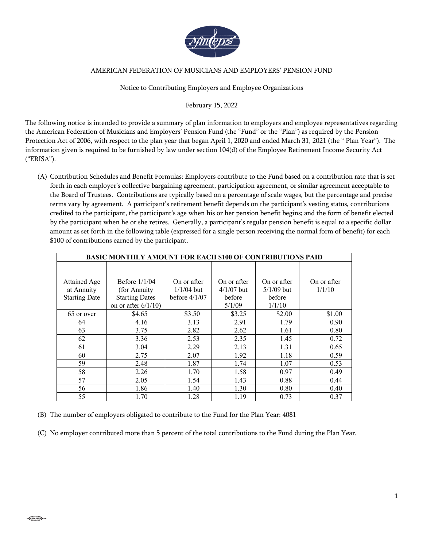

## AMERICAN FEDERATION OF MUSICIANS AND EMPLOYERS' PENSION FUND

## Notice to Contributing Employers and Employee Organizations

## February 15, 2022

The following notice is intended to provide a summary of plan information to employers and employee representatives regarding the American Federation of Musicians and Employers' Pension Fund (the "Fund" or the "Plan") as required by the Pension Protection Act of 2006, with respect to the plan year that began April 1, 2020 and ended March 31, 2021 (the " Plan Year"). The information given is required to be furnished by law under section 104(d) of the Employee Retirement Income Security Act ("ERISA").

(A) Contribution Schedules and Benefit Formulas: Employers contribute to the Fund based on a contribution rate that is set forth in each employer's collective bargaining agreement, participation agreement, or similar agreement acceptable to the Board of Trustees. Contributions are typically based on a percentage of scale wages, but the percentage and precise terms vary by agreement. A participant's retirement benefit depends on the participant's vesting status, contributions credited to the participant, the participant's age when his or her pension benefit begins; and the form of benefit elected by the participant when he or she retires. Generally, a participant's regular pension benefit is equal to a specific dollar amount as set forth in the following table (expressed for a single person receiving the normal form of benefit) for each \$100 of contributions earned by the participant.

| <b>BASIC MONTHLY AMOUNT FOR EACH \$100 OF CONTRIBUTIONS PAID</b> |                        |                 |              |              |             |
|------------------------------------------------------------------|------------------------|-----------------|--------------|--------------|-------------|
|                                                                  |                        |                 |              |              |             |
| Attained Age                                                     | Before $1/1/04$        | On or after     | On or after  | On or after  | On or after |
| at Annuity                                                       | (for Annuity)          | $1/1/04$ but    | $4/1/07$ but | $5/1/09$ but | 1/1/10      |
| <b>Starting Date</b>                                             | <b>Starting Dates</b>  | before $4/1/07$ | before       | before       |             |
|                                                                  | on or after $6/1/10$ ) |                 | 5/1/09       | 1/1/10       |             |
| 65 or over                                                       | \$4.65                 | \$3.50          | \$3.25       | \$2.00       | \$1.00      |
| 64                                                               | 4.16                   | 3.13            | 2.91         | 1.79         | 0.90        |
| 63                                                               | 3.75                   | 2.82            | 2.62         | 1.61         | 0.80        |
| 62                                                               | 3.36                   | 2.53            | 2.35         | 1.45         | 0.72        |
| 61                                                               | 3.04                   | 2.29            | 2.13         | 1.31         | 0.65        |
| 60                                                               | 2.75                   | 2.07            | 1.92         | 1.18         | 0.59        |
| 59                                                               | 2.48                   | 1.87            | 1.74         | 1.07         | 0.53        |
| 58                                                               | 2.26                   | 1.70            | 1.58         | 0.97         | 0.49        |
| 57                                                               | 2.05                   | 1.54            | 1.43         | 0.88         | 0.44        |
| 56                                                               | 1.86                   | 1.40            | 1.30         | 0.80         | 0.40        |
| 55                                                               | 1.70                   | 1.28            | 1.19         | 0.73         | 0.37        |

(B) The number of employers obligated to contribute to the Fund for the Plan Year: 4081

(C) No employer contributed more than 5 percent of the total contributions to the Fund during the Plan Year.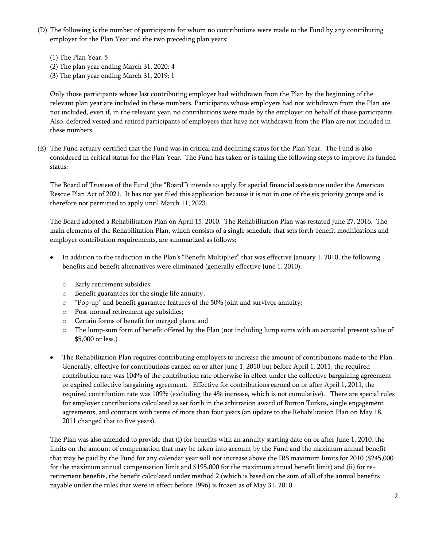- (D) The following is the number of participants for whom no contributions were made to the Fund by any contributing employer for the Plan Year and the two preceding plan years:
	- (1) The Plan Year: 5
	- (2) The plan year ending March 31, 2020: 4
	- (3) The plan year ending March 31, 2019: 1

Only those participants whose last contributing employer had withdrawn from the Plan by the beginning of the relevant plan year are included in these numbers. Participants whose employers had not withdrawn from the Plan are not included, even if, in the relevant year, no contributions were made by the employer on behalf of those participants. Also, deferred vested and retired participants of employers that have not withdrawn from the Plan are not included in these numbers.

(E) The Fund actuary certified that the Fund was in critical and declining status for the Plan Year. The Fund is also considered in critical status for the Plan Year. The Fund has taken or is taking the following steps to improve its funded status:

The Board of Trustees of the Fund (the "Board") intends to apply for special financial assistance under the American Rescue Plan Act of 2021. It has not yet filed this application because it is not in one of the six priority groups and is therefore not permitted to apply until March 11, 2023.

The Board adopted a Rehabilitation Plan on April 15, 2010. The Rehabilitation Plan was restated June 27, 2016. The main elements of the Rehabilitation Plan, which consists of a single schedule that sets forth benefit modifications and employer contribution requirements, are summarized as follows:

- In addition to the reduction in the Plan's "Benefit Multiplier" that was effective January 1, 2010, the following benefits and benefit alternatives were eliminated (generally effective June 1, 2010):
	- o Early retirement subsidies;
	- o Benefit guarantees for the single life annuity;
	- o "Pop-up" and benefit guarantee features of the 50% joint and survivor annuity;
	- o Post-normal retirement age subsidies;
	- o Certain forms of benefit for merged plans; and
	- o The lump-sum form of benefit offered by the Plan (not including lump sums with an actuarial present value of \$5,000 or less.)
- The Rehabilitation Plan requires contributing employers to increase the amount of contributions made to the Plan. Generally, effective for contributions earned on or after June 1, 2010 but before April 1, 2011, the required contribution rate was 104% of the contribution rate otherwise in effect under the collective bargaining agreement or expired collective bargaining agreement. Effective for contributions earned on or after April 1, 2011, the required contribution rate was 109% (excluding the 4% increase, which is not cumulative). There are special rules for employer contributions calculated as set forth in the arbitration award of Burton Turkus, single engagement agreements, and contracts with terms of more than four years (an update to the Rehabilitation Plan on May 18, 2011 changed that to five years).

The Plan was also amended to provide that (i) for benefits with an annuity starting date on or after June 1, 2010, the limits on the amount of compensation that may be taken into account by the Fund and the maximum annual benefit that may be paid by the Fund for any calendar year will not increase above the IRS maximum limits for 2010 (\$245,000 for the maximum annual compensation limit and \$195,000 for the maximum annual benefit limit) and (ii) for reretirement benefits, the benefit calculated under method 2 (which is based on the sum of all of the annual benefits payable under the rules that were in effect before 1996) is frozen as of May 31, 2010.